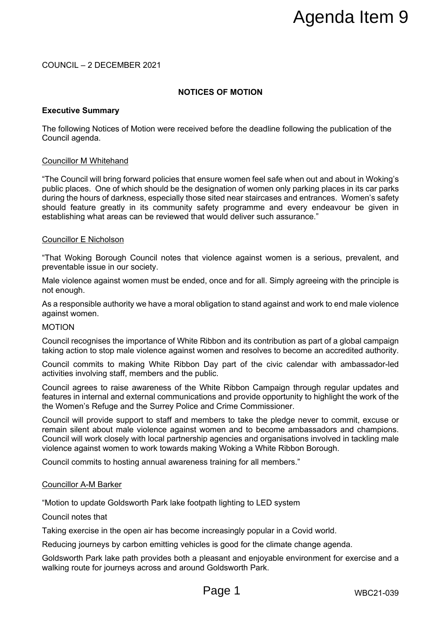# COUNCIL – 2 DECEMBER 2021

# **NOTICES OF MOTION**

### **Executive Summary**

The following Notices of Motion were received before the deadline following the publication of the Council agenda.

### Councillor M Whitehand

"The Council will bring forward policies that ensure women feel safe when out and about in Woking's public places. One of which should be the designation of women only parking places in its car parks during the hours of darkness, especially those sited near staircases and entrances. Women's safety should feature greatly in its community safety programme and every endeavour be given in establishing what areas can be reviewed that would deliver such assurance." **ES OF MOTION**<br> **ES OF MOTION**<br> **ES OF MOTION**<br> **ES OF MOTION**<br> **ES OF MOTION**<br> **ES OF MOTION**<br> **ES OF MOTION**<br> **ES SURE THE AGE AGE AND THE CONSIDE AND THE CONSIDER AND THE SURFARY DISCONSIDE SURFARY DRIGHTS DRIGHTS DRIGH** 

### Councillor E Nicholson

"That Woking Borough Council notes that violence against women is a serious, prevalent, and preventable issue in our society.

Male violence against women must be ended, once and for all. Simply agreeing with the principle is not enough.

As a responsible authority we have a moral obligation to stand against and work to end male violence against women.

### MOTION

Council recognises the importance of White Ribbon and its contribution as part of a global campaign taking action to stop male violence against women and resolves to become an accredited authority.

Council commits to making White Ribbon Day part of the civic calendar with ambassador-led activities involving staff, members and the public.

Council agrees to raise awareness of the White Ribbon Campaign through regular updates and features in internal and external communications and provide opportunity to highlight the work of the the Women's Refuge and the Surrey Police and Crime Commissioner.

Council will provide support to staff and members to take the pledge never to commit, excuse or remain silent about male violence against women and to become ambassadors and champions. Council will work closely with local partnership agencies and organisations involved in tackling male violence against women to work towards making Woking a White Ribbon Borough.

Council commits to hosting annual awareness training for all members."

### Councillor A-M Barker

"Motion to update Goldsworth Park lake footpath lighting to LED system

### Council notes that

Taking exercise in the open air has become increasingly popular in a Covid world.

Reducing journeys by carbon emitting vehicles is good for the climate change agenda.

Goldsworth Park lake path provides both a pleasant and enjoyable environment for exercise and a walking route for journeys across and around Goldsworth Park.